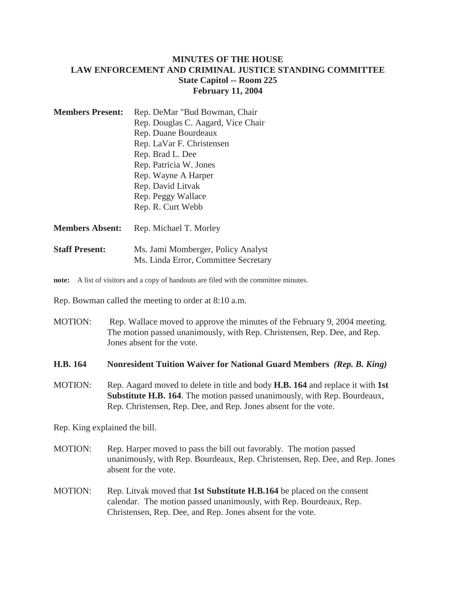## **MINUTES OF THE HOUSE LAW ENFORCEMENT AND CRIMINAL JUSTICE STANDING COMMITTEE State Capitol -- Room 225 February 11, 2004**

| <b>Members Present:</b> | Rep. DeMar "Bud Bowman, Chair      |
|-------------------------|------------------------------------|
|                         | Rep. Douglas C. Aagard, Vice Chair |
|                         | Rep. Duane Bourdeaux               |
|                         | Rep. LaVar F. Christensen          |
|                         | Rep. Brad L. Dee                   |
|                         | Rep. Patricia W. Jones             |
|                         | Rep. Wayne A Harper                |
|                         | Rep. David Litvak                  |
|                         | Rep. Peggy Wallace                 |
|                         | Rep. R. Curt Webb                  |
|                         |                                    |

**Members Absent:** Rep. Michael T. Morley

**Staff Present:** Ms. Jami Momberger, Policy Analyst Ms. Linda Error, Committee Secretary

**note:** A list of visitors and a copy of handouts are filed with the committee minutes.

Rep. Bowman called the meeting to order at 8:10 a.m.

MOTION: Rep. Wallace moved to approve the minutes of the February 9, 2004 meeting. The motion passed unanimously, with Rep. Christensen, Rep. Dee, and Rep. Jones absent for the vote.

#### **H.B. 164 Nonresident Tuition Waiver for National Guard Members** *(Rep. B. King)*

MOTION: Rep. Aagard moved to delete in title and body **H.B. 164** and replace it with **1st Substitute H.B. 164**. The motion passed unanimously, with Rep. Bourdeaux, Rep. Christensen, Rep. Dee, and Rep. Jones absent for the vote.

Rep. King explained the bill.

- MOTION: Rep. Harper moved to pass the bill out favorably. The motion passed unanimously, with Rep. Bourdeaux, Rep. Christensen, Rep. Dee, and Rep. Jones absent for the vote.
- MOTION: Rep. Litvak moved that **1st Substitute H.B.164** be placed on the consent calendar. The motion passed unanimously, with Rep. Bourdeaux, Rep. Christensen, Rep. Dee, and Rep. Jones absent for the vote.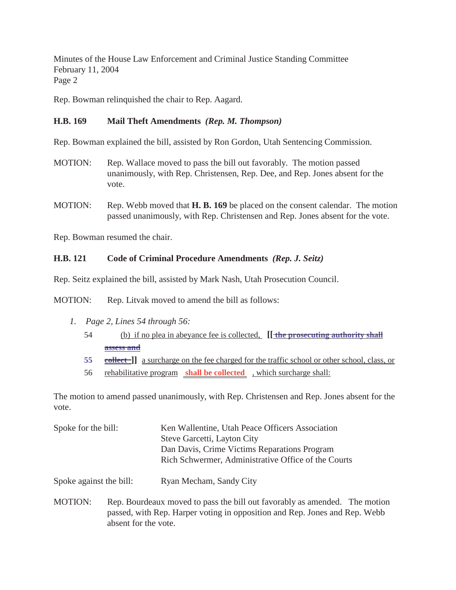Rep. Bowman relinquished the chair to Rep. Aagard.

## **H.B. 169 Mail Theft Amendments** *(Rep. M. Thompson)*

Rep. Bowman explained the bill, assisted by Ron Gordon, Utah Sentencing Commission.

- MOTION: Rep. Wallace moved to pass the bill out favorably. The motion passed unanimously, with Rep. Christensen, Rep. Dee, and Rep. Jones absent for the vote.
- MOTION: Rep. Webb moved that **H. B. 169** be placed on the consent calendar. The motion passed unanimously, with Rep. Christensen and Rep. Jones absent for the vote.

Rep. Bowman resumed the chair.

## **H.B. 121 Code of Criminal Procedure Amendments** *(Rep. J. Seitz)*

Rep. Seitz explained the bill, assisted by Mark Nash, Utah Prosecution Council.

MOTION: Rep. Litvak moved to amend the bill as follows:

- *1. Page 2, Lines 54 through 56:*
	- 54 (b) if no plea in abeyance fee is collected, **[[ the prosecuting authority shall assess and**
	- **55** collect a surcharge on the fee charged for the traffic school or other school, class, or
	- 56 rehabilitative program **shall be collected** , which surcharge shall:

The motion to amend passed unanimously, with Rep. Christensen and Rep. Jones absent for the vote.

| Spoke for the bill: | Ken Wallentine, Utah Peace Officers Association     |
|---------------------|-----------------------------------------------------|
|                     | Steve Garcetti, Layton City                         |
|                     | Dan Davis, Crime Victims Reparations Program        |
|                     | Rich Schwermer, Administrative Office of the Courts |
|                     |                                                     |

Spoke against the bill: Ryan Mecham, Sandy City

MOTION: Rep. Bourdeaux moved to pass the bill out favorably as amended. The motion passed, with Rep. Harper voting in opposition and Rep. Jones and Rep. Webb absent for the vote.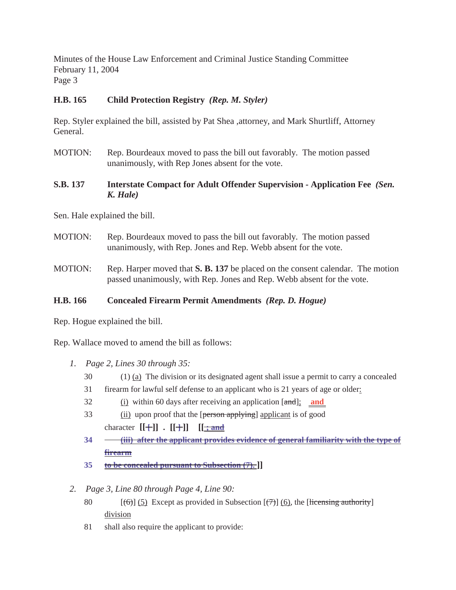# **H.B. 165 Child Protection Registry** *(Rep. M. Styler)*

Rep. Styler explained the bill, assisted by Pat Shea ,attorney, and Mark Shurtliff, Attorney General.

- MOTION: Rep. Bourdeaux moved to pass the bill out favorably. The motion passed unanimously, with Rep Jones absent for the vote.
- **S.B. 137 Interstate Compact for Adult Offender Supervision Application Fee** *(Sen. K. Hale)*

Sen. Hale explained the bill.

- MOTION: Rep. Bourdeaux moved to pass the bill out favorably. The motion passed unanimously, with Rep. Jones and Rep. Webb absent for the vote.
- MOTION: Rep. Harper moved that **S. B. 137** be placed on the consent calendar. The motion passed unanimously, with Rep. Jones and Rep. Webb absent for the vote.

## **H.B. 166 Concealed Firearm Permit Amendments** *(Rep. D. Hogue)*

Rep. Hogue explained the bill.

Rep. Wallace moved to amend the bill as follows:

- *1. Page 2, Lines 30 through 35:*
	- 30 (1) (a) The division or its designated agent shall issue a permit to carry a concealed
	- 31 firearm for lawful self defense to an applicant who is 21 years of age or older:
	- 32 (i) within 60 days after receiving an application [and]; **and**
	- 33 (ii) upon proof that the [person applying] applicant is of good character  $[[+]] \cdot [[+]]$   $[[\frac{1}{2}$  **:**
	- **34 (iii) after the applicant provides evidence of general familiarity with the type of firearm**
	- **35 to be concealed pursuant to Subsection (7). ]]**
- *2. Page 3, Line 80 through Page 4, Line 90:*
	- 80  $[(6)]$  (5) Except as provided in Subsection  $[77]$  (6), the [licensing authority] division
	- 81 shall also require the applicant to provide: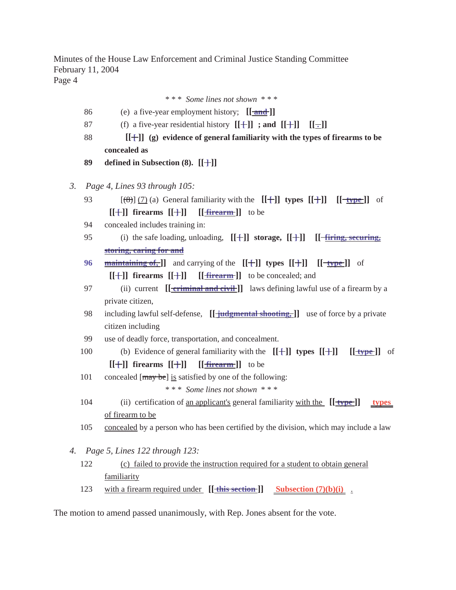\* \* \* *Some lines not shown* \* \* \*

- 86 (e) a five-year employment history; **[[ and ]]**
- 87 (f) a five-year residential history  $[[+]]$  ; and  $[[+]]$   $[[-]]$
- 88 **[[ [ ]] (g) evidence of general familiarity with the types of firearms to be concealed as**
- **89 defined in Subsection (8). [[ ]] ]**
- *3. Page 4, Lines 93 through 105:*
	- 93  $[(\frac{8}{3})]$  (7) (a) General familiarity with the  $[[\frac{1}{3}]]$  **types**  $[[\frac{1}{3}]$  [ $[\frac{1}{3}]$ ] of  $[[+]]$  firearms  $[[+]]$   $[[**firearm**]]$  to be
	- 94 concealed includes training in:
	- 95 (i) the safe loading, unloading,  $[[+]]$  **storage,**  $[[+]]$   $[[-\underline{firing}, \underline{securring},\underline{h}]]$ **storing, caring for and**
	- **96 maintaining of, ]]** and carrying of the  $[[+]]$  **types**  $[[+]]$   $[[-\text{type}]]$  of  $[[+]]$  firearms  $[[+]]$   $[[firearm]]$  to be concealed; and
	- 97 (ii) current **[[-criminal and civil**]] laws defining lawful use of a firearm by a private citizen,
	- 98 including lawful self-defense, **[[ judgmental shooting, ]]** use of force by a private citizen including
	- 99 use of deadly force, transportation, and concealment.
	- 100 (b) Evidence of general familiarity with the  $[[+]]$  types  $[[+]]$   $[[\frac{4}{7}]$  of  $[[+]]$  firearms  $[[+]]$   $[[**firearm**]]$  to be
	- 101 concealed  $[\text{may be}]$  is satisfied by one of the following:

\* \* \* *Some lines not shown* \* \* \*

- 104 (ii) certification of an applicant's general familiarity with the **[[ type ]] types**  of firearm to be
- 105 concealed by a person who has been certified by the division, which may include a law
- *4. Page 5, Lines 122 through 123:*
	- 122 (c) failed to provide the instruction required for a student to obtain general familiarity
	- 123 with a firearm required under  $[[$  this section  $]]$  Subsection  $(7)(b)(i)$ .

The motion to amend passed unanimously, with Rep. Jones absent for the vote.